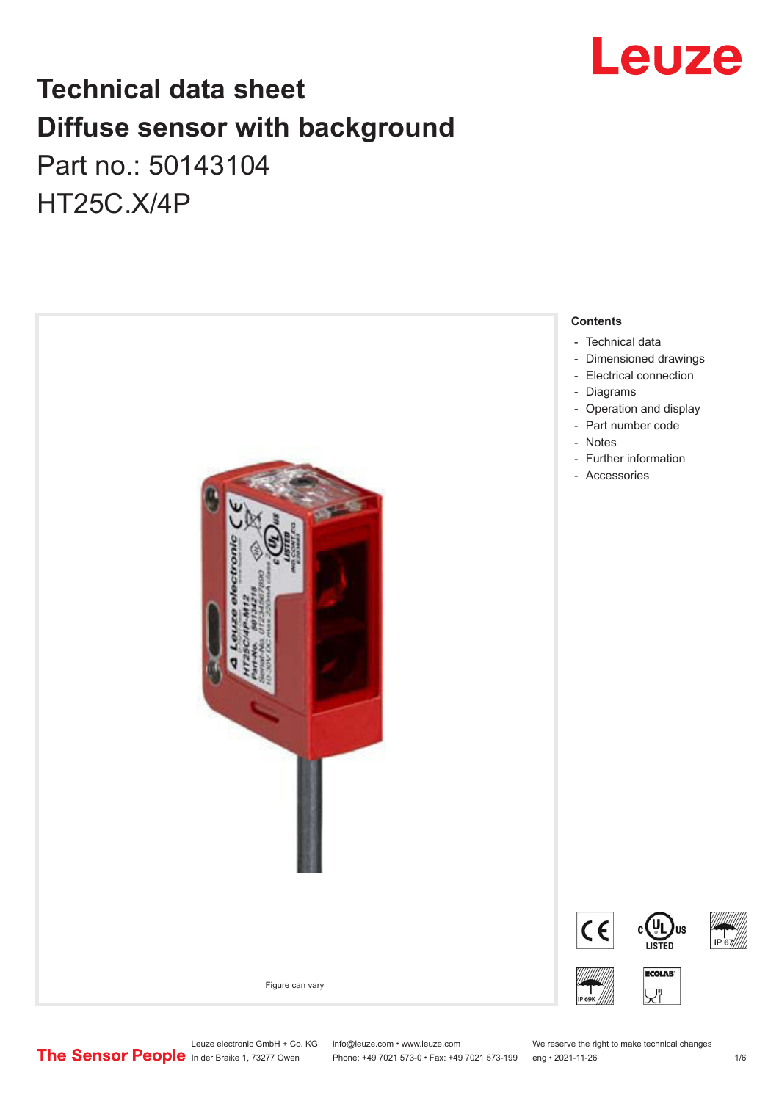

# **Technical data sheet Diffuse sensor with background**  Part no.: 50143104 HT25C.X/4P



Leuze electronic GmbH + Co. KG info@leuze.com • www.leuze.com We reserve the right to make technical changes<br>
The Sensor People in der Braike 1, 73277 Owen Phone: +49 7021 573-0 • Fax: +49 7021 573-199 eng • 2021-11-26

Phone: +49 7021 573-0 • Fax: +49 7021 573-199 eng • 2021-11-26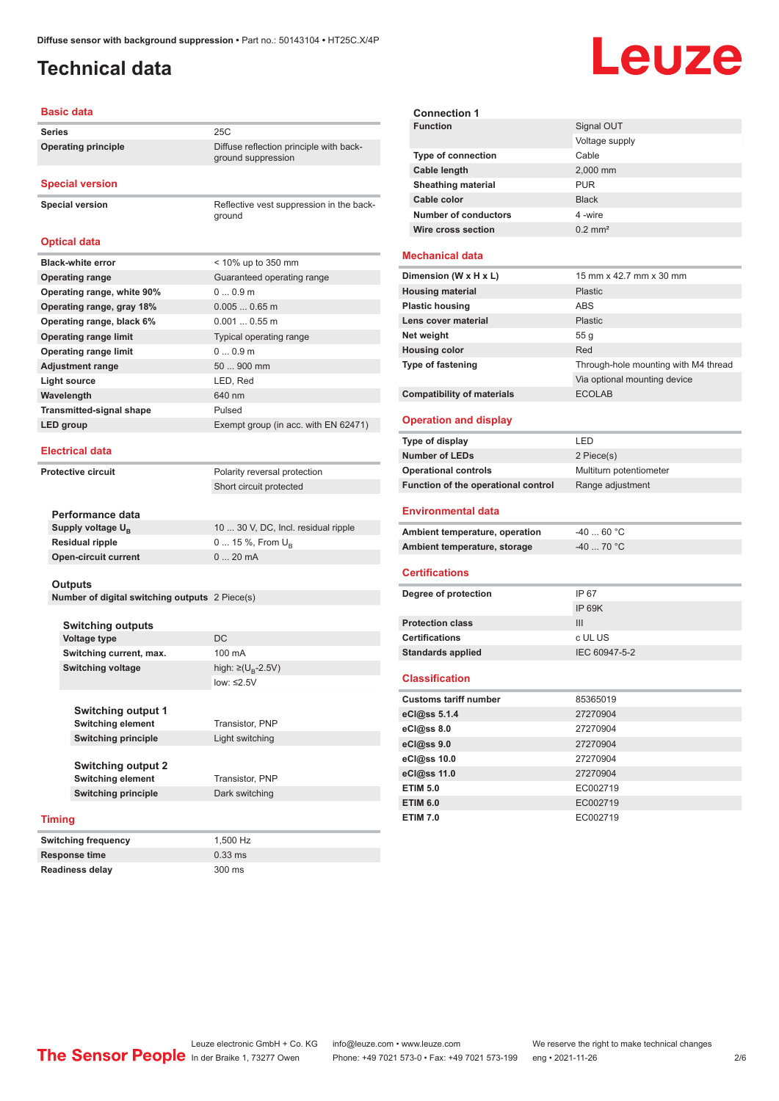### <span id="page-1-0"></span>**Technical data**

#### **Basic data**

| Series              | 25C                                                           |
|---------------------|---------------------------------------------------------------|
| Operating principle | Diffuse reflection principle with back-<br>ground suppression |

#### **Special version**

**Special version** Reflective vest suppression in the back-

| <b>Optical data</b>             |                                      |
|---------------------------------|--------------------------------------|
| <b>Black-white error</b>        | $<$ 10% up to 350 mm                 |
| <b>Operating range</b>          | Guaranteed operating range           |
| Operating range, white 90%      | 00.9m                                |
| Operating range, gray 18%       | $0.0050.65$ m                        |
| Operating range, black 6%       | $0.0010.55$ m                        |
| <b>Operating range limit</b>    | Typical operating range              |
| <b>Operating range limit</b>    | 00.9m                                |
| <b>Adjustment range</b>         | 50  900 mm                           |
| Light source                    | LED, Red                             |
| Wavelength                      | 640 nm                               |
| <b>Transmitted-signal shape</b> | Pulsed                               |
| LED group                       | Exempt group (in acc. with EN 62471) |
|                                 |                                      |

ground

#### **Electrical data**

**Protective circuit** Polarity reversal protection Short circuit protected

| Performance data              |                                     |
|-------------------------------|-------------------------------------|
| Supply voltage U <sub>n</sub> | 10  30 V, DC, Incl. residual ripple |
| Residual ripple               | $015$ %, From $U_{p}$               |
| Open-circuit current          | $020$ mA                            |
|                               |                                     |

#### **Outputs**

**Number of digital switching outputs** 2 Piece(s)

|      | <b>Switching outputs</b>   |                             |
|------|----------------------------|-----------------------------|
|      | <b>Voltage type</b>        | DC.                         |
|      | Switching current, max.    | 100 mA                      |
|      | <b>Switching voltage</b>   | high: ≥( $U_{\rm B}$ -2.5V) |
|      |                            | low: $\leq 2.5V$            |
|      |                            |                             |
|      | <b>Switching output 1</b>  |                             |
|      | <b>Switching element</b>   | Transistor, PNP             |
|      | <b>Switching principle</b> | Light switching             |
|      |                            |                             |
|      | <b>Switching output 2</b>  |                             |
|      | <b>Switching element</b>   | Transistor, PNP             |
|      | <b>Switching principle</b> | Dark switching              |
|      |                            |                             |
| ning |                            |                             |

**Switching frequency** 1,500 Hz **Response time** 0.33 ms **Readiness delay** 300 ms

### **Timing**

| <b>Switching frequency</b> |
|----------------------------|
| <b>Response time</b>       |
| <b>Readiness delay</b>     |

| <b>Connection 1</b>       |                       |
|---------------------------|-----------------------|
| <b>Function</b>           | Signal OUT            |
|                           | Voltage supply        |
| <b>Type of connection</b> | Cable                 |
| <b>Cable length</b>       | 2,000 mm              |
| <b>Sheathing material</b> | <b>PUR</b>            |
| Cable color               | <b>Black</b>          |
| Number of conductors      | 4-wire                |
| Wire cross section        | $0.2$ mm <sup>2</sup> |

#### **Mechanical data**

| Dimension (W x H x L)             | 15 mm x 42.7 mm x 30 mm              |
|-----------------------------------|--------------------------------------|
| <b>Housing material</b>           | Plastic                              |
| <b>Plastic housing</b>            | ABS                                  |
| Lens cover material               | Plastic                              |
| Net weight                        | 55q                                  |
| <b>Housing color</b>              | Red                                  |
| <b>Type of fastening</b>          | Through-hole mounting with M4 thread |
|                                   | Via optional mounting device         |
| <b>Compatibility of materials</b> | <b>ECOLAB</b>                        |

#### **Operation and display**

| Type of display                     | I FD                    |
|-------------------------------------|-------------------------|
| <b>Number of LEDs</b>               | 2 Piece(s)              |
| <b>Operational controls</b>         | Multiturn potentiometer |
| Function of the operational control | Range adjustment        |
| <b>Environmental data</b>           |                         |
| Ambient temperature, operation      | -40  60 °C              |

| Ambient temperature, storage | $-4070 °C$ |
|------------------------------|------------|
|                              |            |

#### **Certifications**

| Degree of protection     | IP 67         |
|--------------------------|---------------|
|                          | IP 69K        |
| <b>Protection class</b>  | Ш             |
| <b>Certifications</b>    | c UL US       |
| <b>Standards applied</b> | IEC 60947-5-2 |
|                          |               |

#### **Classification**

| <b>Customs tariff number</b> | 85365019 |
|------------------------------|----------|
| eCl@ss 5.1.4                 | 27270904 |
| $eC/\omega$ ss 8.0           | 27270904 |
| eCl@ss 9.0                   | 27270904 |
| eCl@ss 10.0                  | 27270904 |
| eCl@ss 11.0                  | 27270904 |
| <b>ETIM 5.0</b>              | EC002719 |
| <b>ETIM 6.0</b>              | EC002719 |
| <b>ETIM 7.0</b>              | EC002719 |

## Leuze electronic GmbH + Co. KG info@leuze.com • www.leuze.com We reserve the right to make technical changes<br> **The Sensor People** in der Braike 1, 73277 Owen Phone: +49 7021 573-1 +49 7021 573-199 eng • 2021-11-26

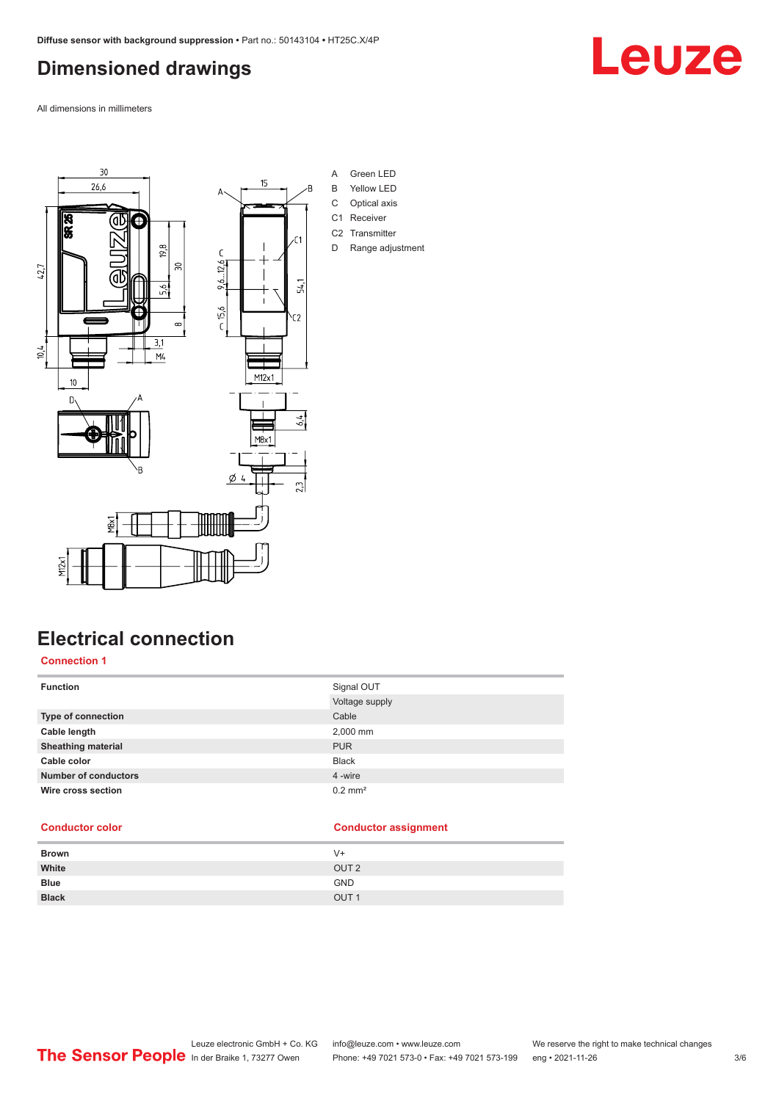### <span id="page-2-0"></span>**Dimensioned drawings**

All dimensions in millimeters



### **Electrical connection**

### **Connection 1**

| Signal OUT            |
|-----------------------|
| Voltage supply        |
| Cable                 |
| 2,000 mm              |
| <b>PUR</b>            |
| <b>Black</b>          |
| 4 -wire               |
| $0.2$ mm <sup>2</sup> |
|                       |

### **Conductor color Conductor assignment**

| V+               |
|------------------|
| OUT <sub>2</sub> |
| <b>GND</b>       |
| OUT <sub>1</sub> |
|                  |

Leuze electronic GmbH + Co. KG info@leuze.com • www.leuze.com We reserve the right to make technical changes<br>
The Sensor People in der Braike 1, 73277 Owen Phone: +49 7021 573-0 • Fax: +49 7021 573-199 eng • 2021-11-26 Phone: +49 7021 573-0 • Fax: +49 7021 573-199 eng • 2021-11-26 3/6

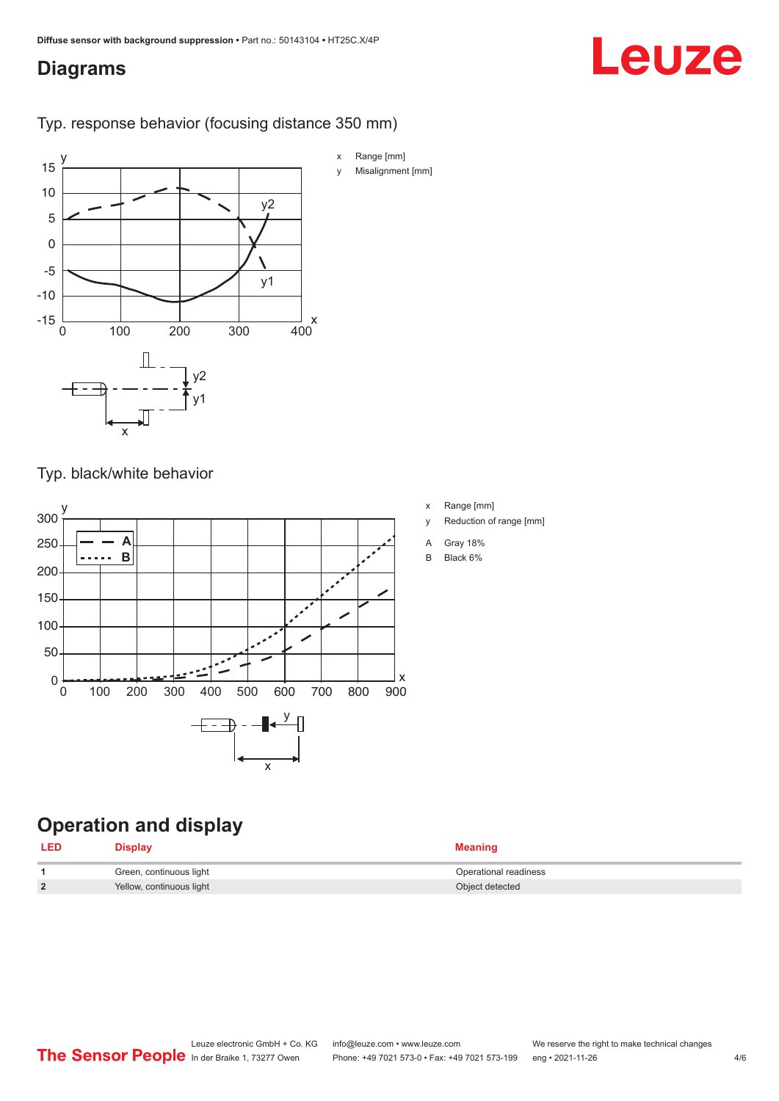### <span id="page-3-0"></span>**Diagrams**

# Leuze

Typ. response behavior (focusing distance 350 mm)



Typ. black/white behavior



- x Range [mm]
- y Reduction of range [mm]
- A Gray 18%
- B Black 6%

### **Operation and display**

| <b>LED</b>     | <b>Display</b>           | <b>Meaning</b>        |
|----------------|--------------------------|-----------------------|
|                | Green, continuous light  | Operational readiness |
| $\overline{2}$ | Yellow, continuous light | Object detected       |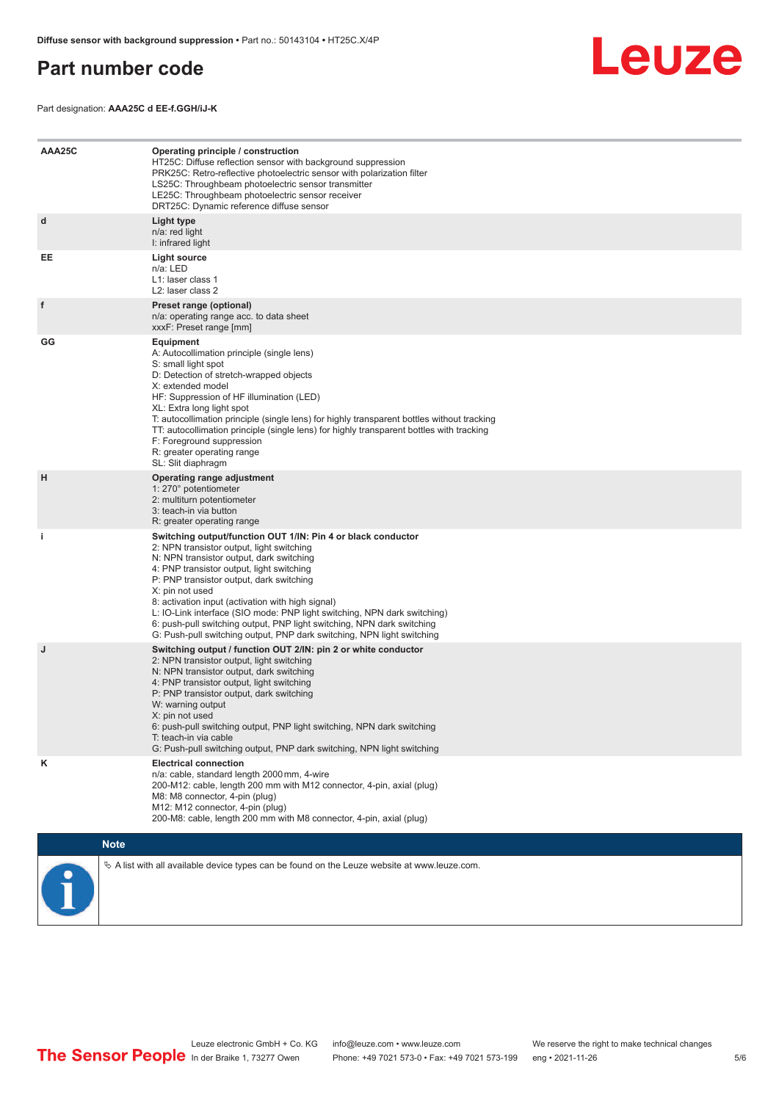### <span id="page-4-0"></span>**Part number code**

Leuze

Part designation: **AAA25C d EE-f.GGH/iJ-K**

| AAA25C | Operating principle / construction<br>HT25C: Diffuse reflection sensor with background suppression<br>PRK25C: Retro-reflective photoelectric sensor with polarization filter<br>LS25C: Throughbeam photoelectric sensor transmitter<br>LE25C: Throughbeam photoelectric sensor receiver<br>DRT25C: Dynamic reference diffuse sensor                                                                                                                                                                                                                    |  |  |  |
|--------|--------------------------------------------------------------------------------------------------------------------------------------------------------------------------------------------------------------------------------------------------------------------------------------------------------------------------------------------------------------------------------------------------------------------------------------------------------------------------------------------------------------------------------------------------------|--|--|--|
| d      | Light type<br>n/a: red light<br>I: infrared light                                                                                                                                                                                                                                                                                                                                                                                                                                                                                                      |  |  |  |
| EE     | <b>Light source</b><br>n/a: LED<br>L1: laser class 1<br>L2: laser class 2                                                                                                                                                                                                                                                                                                                                                                                                                                                                              |  |  |  |
| f      | Preset range (optional)<br>n/a: operating range acc. to data sheet<br>xxxF: Preset range [mm]                                                                                                                                                                                                                                                                                                                                                                                                                                                          |  |  |  |
| GG     | <b>Equipment</b><br>A: Autocollimation principle (single lens)<br>S: small light spot<br>D: Detection of stretch-wrapped objects<br>X: extended model<br>HF: Suppression of HF illumination (LED)<br>XL: Extra long light spot<br>T: autocollimation principle (single lens) for highly transparent bottles without tracking<br>TT: autocollimation principle (single lens) for highly transparent bottles with tracking<br>F: Foreground suppression<br>R: greater operating range<br>SL: Slit diaphragm                                              |  |  |  |
| н      | Operating range adjustment<br>1: 270° potentiometer<br>2: multiturn potentiometer<br>3: teach-in via button<br>R: greater operating range                                                                                                                                                                                                                                                                                                                                                                                                              |  |  |  |
| j.     | Switching output/function OUT 1/IN: Pin 4 or black conductor<br>2: NPN transistor output, light switching<br>N: NPN transistor output, dark switching<br>4: PNP transistor output, light switching<br>P: PNP transistor output, dark switching<br>X: pin not used<br>8: activation input (activation with high signal)<br>L: IO-Link interface (SIO mode: PNP light switching, NPN dark switching)<br>6: push-pull switching output, PNP light switching, NPN dark switching<br>G: Push-pull switching output, PNP dark switching, NPN light switching |  |  |  |
| J      | Switching output / function OUT 2/IN: pin 2 or white conductor<br>2: NPN transistor output, light switching<br>N: NPN transistor output, dark switching<br>4: PNP transistor output, light switching<br>P: PNP transistor output, dark switching<br>W: warning output<br>X: pin not used<br>6: push-pull switching output, PNP light switching, NPN dark switching<br>T: teach-in via cable<br>G: Push-pull switching output, PNP dark switching, NPN light switching                                                                                  |  |  |  |
| κ      | <b>Electrical connection</b><br>n/a: cable, standard length 2000 mm, 4-wire<br>200-M12: cable, length 200 mm with M12 connector, 4-pin, axial (plug)<br>M8: M8 connector, 4-pin (plug)<br>M12: M12 connector, 4-pin (plug)<br>200-M8: cable, length 200 mm with M8 connector, 4-pin, axial (plug)                                                                                                                                                                                                                                                      |  |  |  |
|        | <b>Note</b>                                                                                                                                                                                                                                                                                                                                                                                                                                                                                                                                            |  |  |  |
|        | $\&$ A list with all available device types can be found on the Leuze website at www.leuze.com.                                                                                                                                                                                                                                                                                                                                                                                                                                                        |  |  |  |